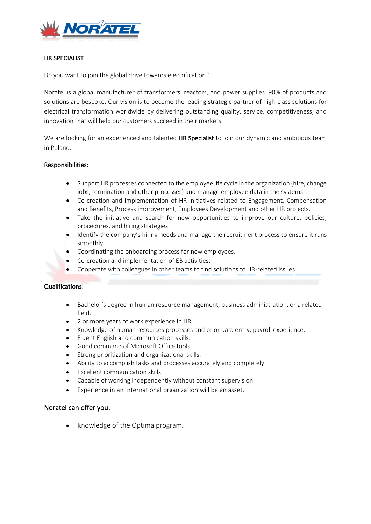

### HR SPECIALIST

Do you want to join the global drive towards electrification?

Noratel is a global manufacturer of transformers, reactors, and power supplies. 90% of products and solutions are bespoke. Our vision is to become the leading strategic partner of high-class solutions for electrical transformation worldwide by delivering outstanding quality, service, competitiveness, and innovation that will help our customers succeed in their markets.

We are looking for an experienced and talented HR Specialist to join our dynamic and ambitious team in Poland.

### Responsibilities:

- Support HR processes connected to the employee life cycle in the organization (hire, change jobs, termination and other processes) and manage employee data in the systems.
- Co-creation and implementation of HR initiatives related to Engagement, Compensation and Benefits, Process improvement, Employees Development and other HR projects.
- Take the initiative and search for new opportunities to improve our culture, policies, procedures, and hiring strategies.
- Identify the company's hiring needs and manage the recruitment process to ensure it runs smoothly.
- Coordinating the onboarding process for new employees.
- Co-creation and implementation of EB activities.
- Cooperate with colleagues in other teams to find solutions to HR-related issues.

#### Qualifications:

- Bachelor's degree in human resource management, business administration, or a related field.
- 2 or more years of work experience in HR.
- Knowledge of human resources processes and prior data entry, payroll experience.
- Fluent English and communication skills.
- Good command of Microsoft Office tools.
- Strong prioritization and organizational skills.
- Ability to accomplish tasks and processes accurately and completely.
- Excellent communication skills.
- Capable of working independently without constant supervision.
- Experience in an International organization will be an asset.

## Noratel can offer you:

• Knowledge of the Optima program.